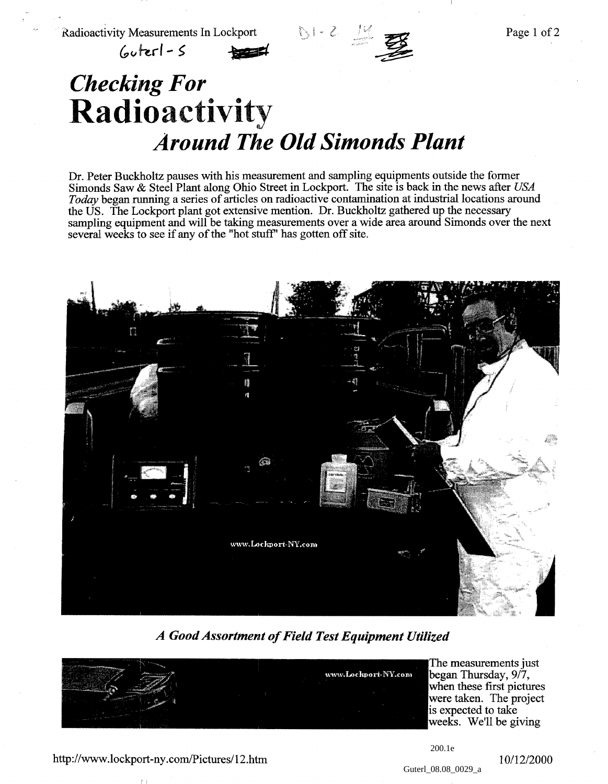

## $60$ terl - S

## *Checking For* Radioactivity *Around The Old Simonds Plant*

Dr. Peter Buckholtz pauses with his measurement and sampling equipments outside the former Simonds Saw & Steel Plant along Ohio Street in Lockport. The site is back in the news after *USA Today* began running a series of articles on radioactive contamination at industrial locations around the US. The Lockport plant got extensive mention. Dr. Buckholtz gathered up the necessary sampling equipment and will be taking measurements over a wide area around Simonds over the next several weeks to see if any of the "hot stuff" has gotten off site.



*A Good Assortment of Field Test Equipment Utilized*



The measurements just began Thursday,  $9/7$ , when these first pictures were taken. The project is expected to take weeks. We'll be giving

## http://www.lockport-ny.com/Pictures/12.htm  $10/12/2000$

200.1e

Guterl 08.08 0029 a